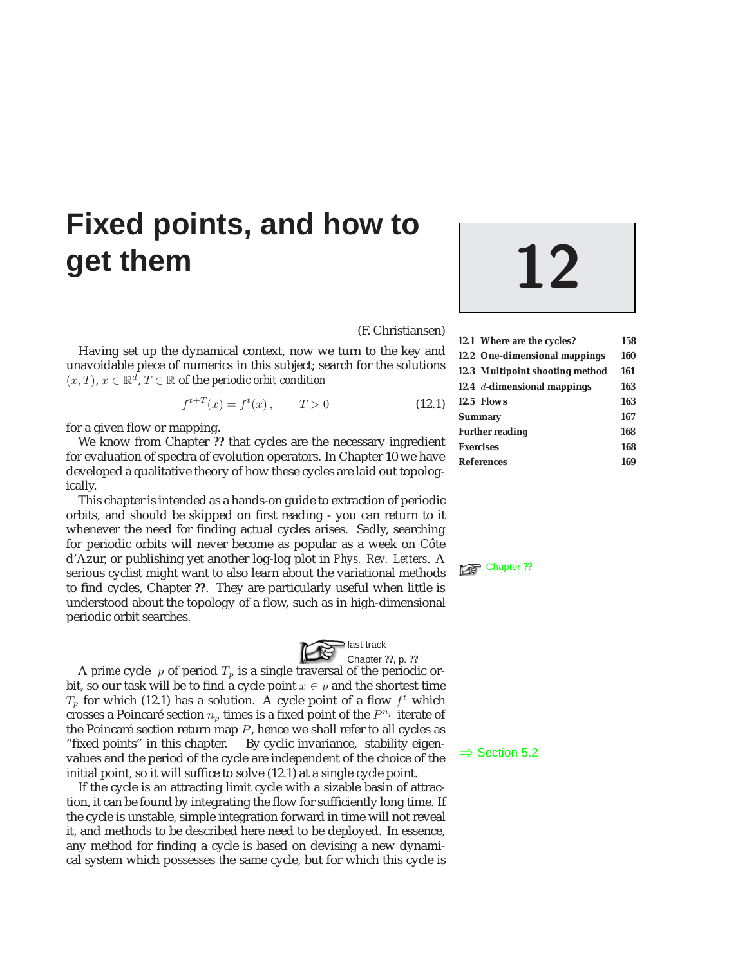# **Fixed points, and how to get them 12**

(F. Christiansen)

Having set up the dynamical context, now we turn to the key and unavoidable piece of numerics in this subject; search for the solutions  $(x, T), x \in \mathbb{R}^d, T \in \mathbb{R}$  of the *periodic orbit condition* 

$$
f^{t+T}(x) = f^t(x), \qquad T > 0 \tag{12.1}
$$

for a given flow or mapping.

We know from Chapter **??** that cycles are the necessary ingredient for evaluation of spectra of evolution operators. In Chapter 10 we have developed a qualitative theory of how these cycles are laid out topologically.

This chapter is intended as a hands-on guide to extraction of periodic orbits, and should be skipped on first reading - you can return to it whenever the need for finding actual cycles arises. Sadly, searching for periodic orbits will never become as popular as a week on Côte d'Azur, or publishing yet another log-log plot in *Phys. Rev. Letters*. A serious cyclist might want to also learn about the variational methods **E** Chapter ?? to find cycles, Chapter **??**. They are particularly useful when little is understood about the topology of a flow, such as in high-dimensional periodic orbit searches.



A *prime* cycle p of period  $T_p$  is a single traversal of the periodic orbit, so our task will be to find a cycle point  $x \in p$  and the shortest time  $T_p$  for which (12.1) has a solution. A cycle point of a flow  $f^t$  which crosses a Poincaré section  $n_p$  times is a fixed point of the  $\mathbb{P}^{n_p}$  iterate of the Poincaré section return map  $P$ , hence we shall refer to all cycles as "fixed points" in this chapter. By cyclic invariance, stability eigen-<br>values and the period of the cycle are independent of the choice of the  $\Rightarrow$  Section 5.2 initial point, so it will suffice to solve (12.1) at a single cycle point.

If the cycle is an attracting limit cycle with a sizable basin of attraction, it can be found by integrating the flow for sufficiently long time. If the cycle is unstable, simple integration forward in time will not reveal it, and methods to be described here need to be deployed. In essence, any method for finding a cycle is based on devising a new dynamical system which possesses the same cycle, but for which this cycle is

| 12.1 Where are the cycles?      | 158 |
|---------------------------------|-----|
| 12.2 One-dimensional mappings   | 160 |
| 12.3 Multipoint shooting method | 161 |
| 12.4 $d$ -dimensional mappings  | 163 |
| 12.5 Flows                      | 163 |
| <b>Summary</b>                  | 167 |
| <b>Further reading</b>          | 168 |
| <b>Exercises</b>                | 168 |
| <b>References</b>               | 169 |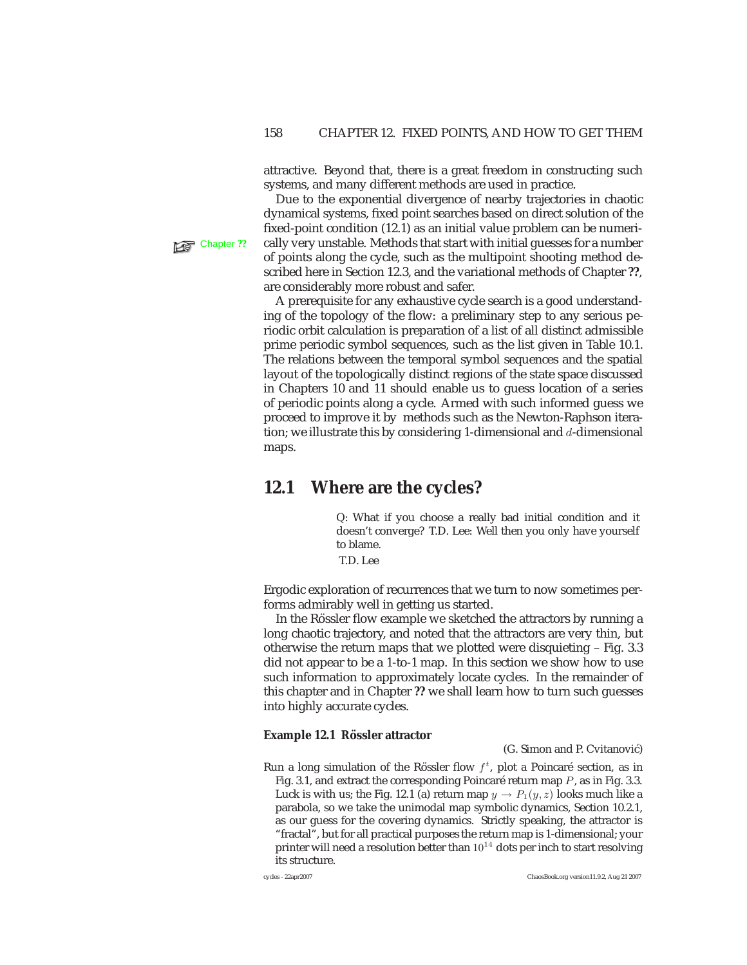attractive. Beyond that, there is a great freedom in constructing such systems, and many different methods are used in practice.

Due to the exponential divergence of nearby trajectories in chaotic dynamical systems, fixed point searches based on direct solution of the fixed-point condition (12.1) as an initial value problem can be numeri-**Chapter ??** cally very unstable. Methods that start with initial guesses for a number of points along the cycle, such as the multipoint shooting method described here in Section 12.3, and the variational methods of Chapter **??**, are considerably more robust and safer.

> A prerequisite for any exhaustive cycle search is a good understanding of the topology of the flow: a preliminary step to any serious periodic orbit calculation is preparation of a list of all distinct admissible prime periodic symbol sequences, such as the list given in Table 10.1. The relations between the temporal symbol sequences and the spatial layout of the topologically distinct regions of the state space discussed in Chapters 10 and 11 should enable us to guess location of a series of periodic points along a cycle. Armed with such informed guess we proceed to improve it by methods such as the Newton-Raphson iteration; we illustrate this by considering 1-dimensional and  $d$ -dimensional maps.

# **12.1 Where are the cycles?**

Q: What if you choose a really bad initial condition and it doesn't converge? T.D. Lee: Well then you only have yourself to blame.

T.D. Lee

Ergodic exploration of recurrences that we turn to now sometimes performs admirably well in getting us started.

In the Rössler flow example we sketched the attractors by running a long chaotic trajectory, and noted that the attractors are very thin, but otherwise the return maps that we plotted were disquieting – Fig. 3.3 did not appear to be a 1-to-1 map. In this section we show how to use such information to approximately locate cycles. In the remainder of this chapter and in Chapter **??** we shall learn how to turn such guesses into highly accurate cycles.

#### **Example 12.1 Rössler attractor**

(G. Simon and P. Cvitanović)

Run a long simulation of the Rössler flow  $f^t$ , plot a Poincaré section, as in Fig. 3.1, and extract the corresponding Poincaré return map  $P$ , as in Fig. 3.3. Luck is with us; the Fig. 12.1 (a) return map  $y \to P_1(y,z)$  looks much like a parabola, so we take the unimodal map symbolic dynamics, Section 10.2.1, as our guess for the covering dynamics. Strictly speaking, the attractor is "fractal", but for all practical purposes the return map is 1-dimensional; your printer will need a resolution better than  $10^{14}$  dots per inch to start resolving its structure.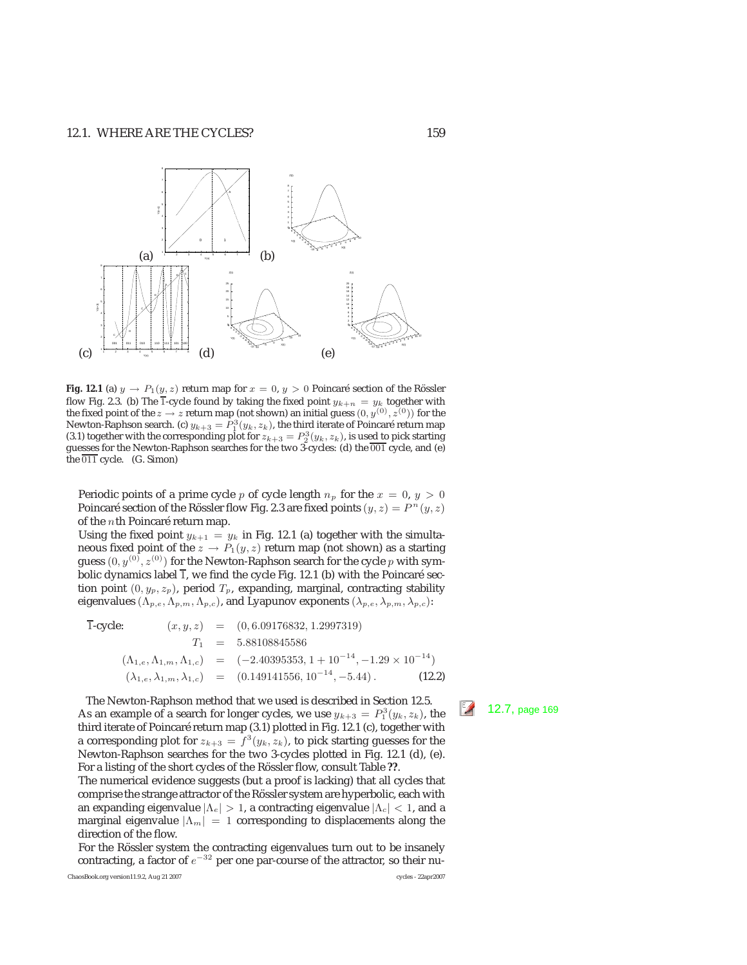

**Fig. 12.1** (a)  $y \rightarrow P_1(y, z)$  return map for  $x = 0, y > 0$  Poincaré section of the Rössler flow Fig. 2.3. (b) The  $\overline{1}$ -cycle found by taking the fixed point  $y_{k+n} = y_k$  together with the fixed point of the  $z \to z$  return map (not shown) an initial guess  $(0, y^{(0)}, z^{(0)})$  for the Newton-Raphson search. (c)  $y_{k+3} = P_1^3(y_k, z_k)$ , the third iterate of Poincaré return map (3.1) together with the corresponding plot for  $z_{k+3} = P_2^3(y_k, z_k)$  is used to pick starting (3.1) together with the corresponding plot for  $z_{k+3} = P_2^3(y_k, z_k)$ , is used to pick starting<br>guesses for the Newton-Raphson searches for the two 3-cycles: (d) the 001 cycle, and (e) guesses for the Newton-Raphson searches for the two 3-cycles: (d) the  $\overline{001}$  cycle, and (e) the  $\overline{011}$  cycle. (G. Simon)

Periodic points of a prime cycle  $p$  of cycle length  $n_p$  for the  $x = 0$ ,  $y > 0$ Poincaré section of the Rössler flow Fig. 2.3 are fixed points  $(y, z) = P^{n}(y, z)$ of the  $n$ th Poincaré return map.

Using the fixed point  $y_{k+1} = y_k$  in Fig. 12.1 (a) together with the simultaneous fixed point of the  $z \to P_1(y, z)$  return map (not shown) as a starting guess  $(0, y^{(0)}, z^{(0)})$  for the Newton-Raphson search for the cycle p with symbolic dynamics label  $\overline{1}$ , we find the cycle Fig. 12.1 (b) with the Poincaré section point  $(0, y_p, z_p)$ , period  $T_p$ , expanding, marginal, contracting stability eigenvalues ( $\Lambda_{p,e}, \Lambda_{p,m}, \Lambda_{p,c}$ ), and Lyapunov exponents ( $\lambda_{p,e}, \lambda_{p,m}, \lambda_{p,c}$ ):

T-cycle: 
$$
(x, y, z) = (0, 6.09176832, 1.2997319)
$$
  
\n $T_1 = 5.88108845586$   
\n $(\Lambda_{1,e}, \Lambda_{1,m}, \Lambda_{1,c}) = (-2.40395353, 1 + 10^{-14}, -1.29 \times 10^{-14})$   
\n $(\lambda_{1,e}, \lambda_{1,m}, \lambda_{1,c}) = (0.149141556, 10^{-14}, -5.44)$ . (12.2)

The Newton-Raphson method that we used is described in Section 12.5.<br>As an example of a search for longer cycles, we use  $y_{k+3} = P_1^3(y_k, z_k)$ , the third iterate of Poincaré return map (3.1) plotted in Fig. 12.1 (c), together with a corresponding plot for  $z_{k+3} = f^3(y_k, z_k)$ , to pick starting guesses for the Newton-Raphson searches for the two 3-cycles plotted in Fig. 12.1 (d), (e). For a listing of the short cycles of the Rössler flow, consult Table ??.

The numerical evidence suggests (but a proof is lacking) that all cycles that comprise the strange attractor of the Rössler system are hyperbolic, each with an expanding eigenvalue  $|\Lambda_e| > 1$ , a contracting eigenvalue  $|\Lambda_c| < 1$ , and a marginal eigenvalue  $|\Lambda_m| = 1$  corresponding to displacements along the direction of the flow.

For the Rössler system the contracting eigenvalues turn out to be insanely contracting, a factor of  $e^{-32}$  per one par-course of the attractor, so their nu-

ChaosBook.org version11.9.2, Aug 21 2007 cycles - 22apr2007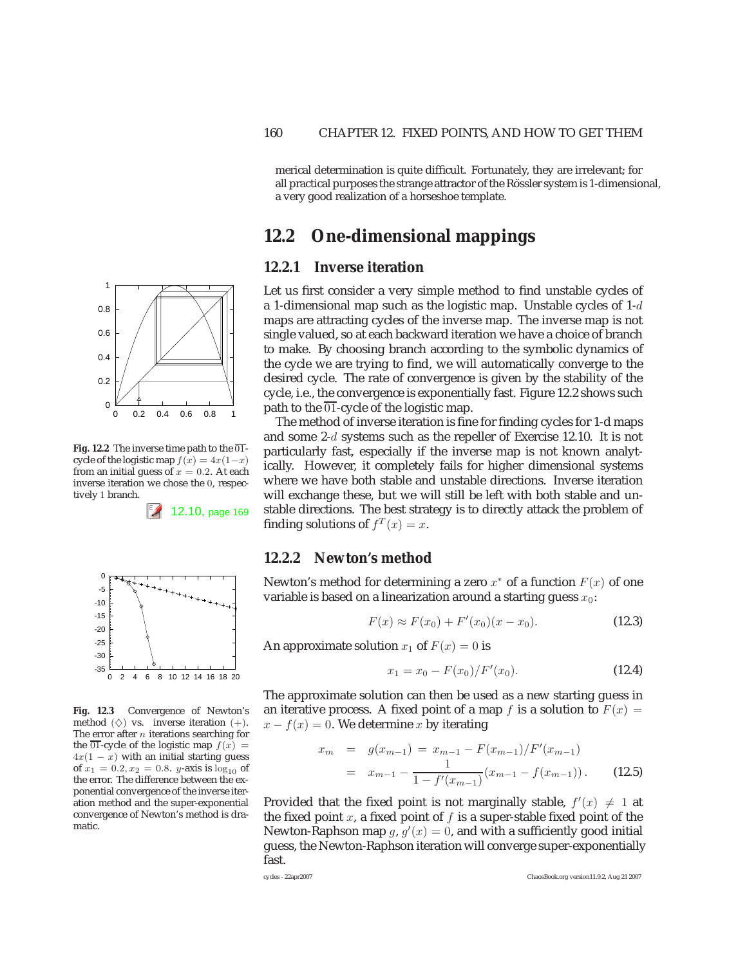merical determination is quite difficult. Fortunately, they are irrelevant; for all practical purposes the strange attractor of the Rössler system is 1-dimensional, a very good realization of a horseshoe template.

# **12.2 One-dimensional mappings**

#### **12.2.1 Inverse iteration**

Let us first consider a very simple method to find unstable cycles of a 1-dimensional map such as the logistic map. Unstable cycles of  $1-d$ maps are attracting cycles of the inverse map. The inverse map is not single valued, so at each backward iteration we have a choice of branch to make. By choosing branch according to the symbolic dynamics of the cycle we are trying to find, we will automatically converge to the desired cycle. The rate of convergence is given by the stability of the cycle, i.e., the convergence is exponentially fast. Figure 12.2 shows such path to the  $\overline{01}$ -cycle of the logistic map.

The method of inverse iteration is fine for finding cycles for 1-d maps and some 2-d systems such as the repeller of Exercise 12.10. It is not particularly fast, especially if the inverse map is not known analytically. However, it completely fails for higher dimensional systems where we have both stable and unstable directions. Inverse iteration will exchange these, but we will still be left with both stable and unstable directions. The best strategy is to directly attack the problem of finding solutions of  $f<sup>T</sup>(x) = x$ .

### **12.2.2 Newton's method**

Newton's method for determining a zero  $x^*$  of a function  $F(x)$  of one variable is based on a linearization around a starting guess  $x_0$ :

$$
F(x) \approx F(x_0) + F'(x_0)(x - x_0).
$$
 (12.3)

An approximate solution  $x_1$  of  $F(x)=0$  is

$$
x_1 = x_0 - F(x_0)/F'(x_0). \tag{12.4}
$$

The approximate solution can then be used as a new starting guess in an iterative process. A fixed point of a map f is a solution to  $F(x) =$  $x - f(x) = 0$ . We determine x by iterating

$$
x_m = g(x_{m-1}) = x_{m-1} - F(x_{m-1})/F'(x_{m-1})
$$
  
=  $x_{m-1} - \frac{1}{1 - f'(x_{m-1})}(x_{m-1} - f(x_{m-1})).$  (12.5)

Provided that the fixed point is not marginally stable,  $f'(x) \neq 1$  at the fixed point  $x$ , a fixed point of  $f$  is a super-stable fixed point of the Newton-Raphson map g,  $g'(x) = 0$ , and with a sufficiently good initial guess, the Newton-Raphson iteration will converge super-exponentially fast.

$$
1 = f(u_{m-1})
$$



1

**Fig. 12.2** The inverse time path to the  $\overline{01}$ cycle of the logistic map  $f(x)=4x(1-x)$ from an initial guess of  $x = 0.2$ . At each inverse iteration we chose the 0, respectively 1 branch.

12.10, page 169



**Fig. 12.3** Convergence of Newton's method  $(\diamondsuit)$  vs. inverse iteration  $(+)$ . The error after  $n$  iterations searching for the  $\overline{01}$ -cycle of the logistic map  $f(x) =$  $4x(1 - x)$  with an initial starting guess of  $x_1 = 0.2, x_2 = 0.8$ . *y*-axis is  $\log_{10}$  of the error. The difference between the exponential convergence of the inverse iteration method and the super-exponential convergence of Newton's method is dramatic.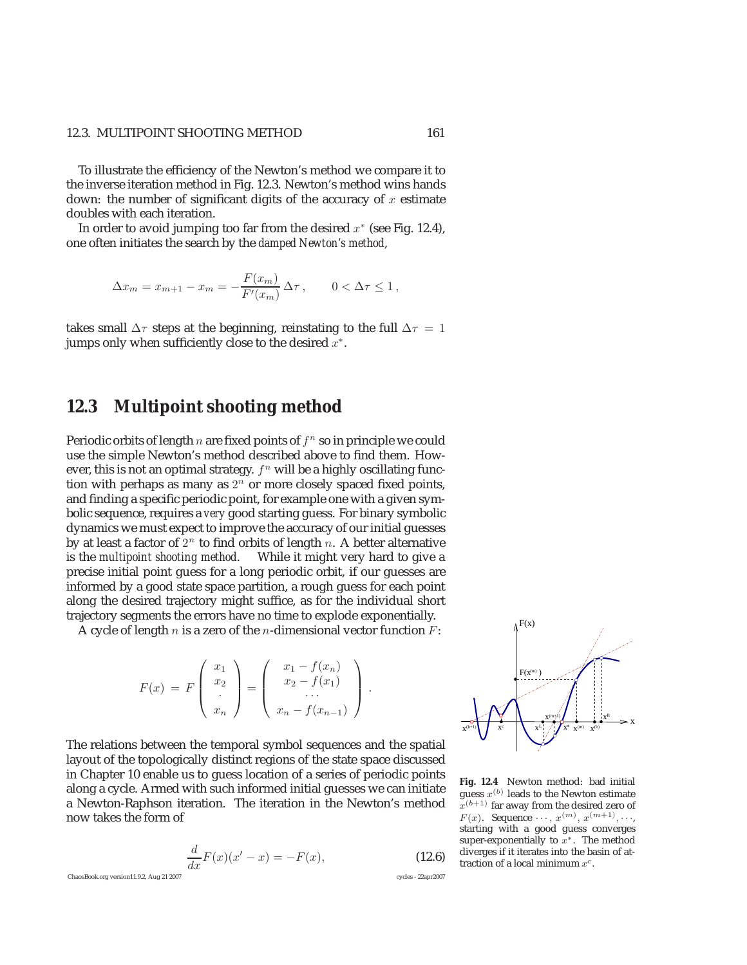#### 12.3. MULTIPOINT SHOOTING METHOD 161

To illustrate the efficiency of the Newton's method we compare it to the inverse iteration method in Fig. 12.3. Newton's method wins hands down: the number of significant digits of the accuracy of  $x$  estimate doubles with each iteration.

In order to avoid jumping too far from the desired  $x^*$  (see Fig. 12.4), one often initiates the search by the *damped Newton's method*,

$$
\Delta x_m = x_{m+1} - x_m = -\frac{F(x_m)}{F'(x_m)} \Delta \tau, \qquad 0 < \Delta \tau \le 1,
$$

takes small  $\Delta \tau$  steps at the beginning, reinstating to the full  $\Delta \tau = 1$ jumps only when sufficiently close to the desired  $x^*$ .

# **12.3 Multipoint shooting method**

Periodic orbits of length n are fixed points of  $f<sup>n</sup>$  so in principle we could use the simple Newton's method described above to find them. However, this is not an optimal strategy.  $f<sup>n</sup>$  will be a highly oscillating function with perhaps as many as  $2<sup>n</sup>$  or more closely spaced fixed points, and finding a specific periodic point, for example one with a given symbolic sequence, requires a *very* good starting guess. For binary symbolic dynamics we must expect to improve the accuracy of our initial guesses by at least a factor of  $2^n$  to find orbits of length n. A better alternative is the *multipoint shooting method*. While it might very hard to give a precise initial point guess for a long periodic orbit, if our guesses are informed by a good state space partition, a rough guess for each point along the desired trajectory might suffice, as for the individual short trajectory segments the errors have no time to explode exponentially.

A cycle of length  $n$  is a zero of the  $n$ -dimensional vector function  $F$ :

$$
F(x) = F\begin{pmatrix} x_1 \\ x_2 \\ \vdots \\ x_n \end{pmatrix} = \begin{pmatrix} x_1 - f(x_n) \\ x_2 - f(x_1) \\ \vdots \\ x_n - f(x_{n-1}) \end{pmatrix}.
$$

The relations between the temporal symbol sequences and the spatial layout of the topologically distinct regions of the state space discussed in Chapter 10 enable us to guess location of a series of periodic points along a cycle. Armed with such informed initial guesses we can initiate a Newton-Raphson iteration. The iteration in the Newton's method now takes the form of

$$
\frac{d}{dx}F(x)(x'-x) = -F(x),
$$
\n(12.6)

ChaosBook.org version11.9.2, Aug 21 2007 cycles - 22apr2007



**Fig. 12.4** Newton method: bad initial guess  $x^{(b)}$  leads to the Newton estimate  $x^{(b+1)}$  far away from the desired zero of  $F(x)$ . Sequence  $\cdots$ ,  $x^{(m)}$ ,  $x^{(m+1)}$ ,  $\cdots$ , starting with a good guess converges super-exponentially to  $x^*$ . The method diverges if it iterates into the basin of attraction of a local minimum  $x^c$ .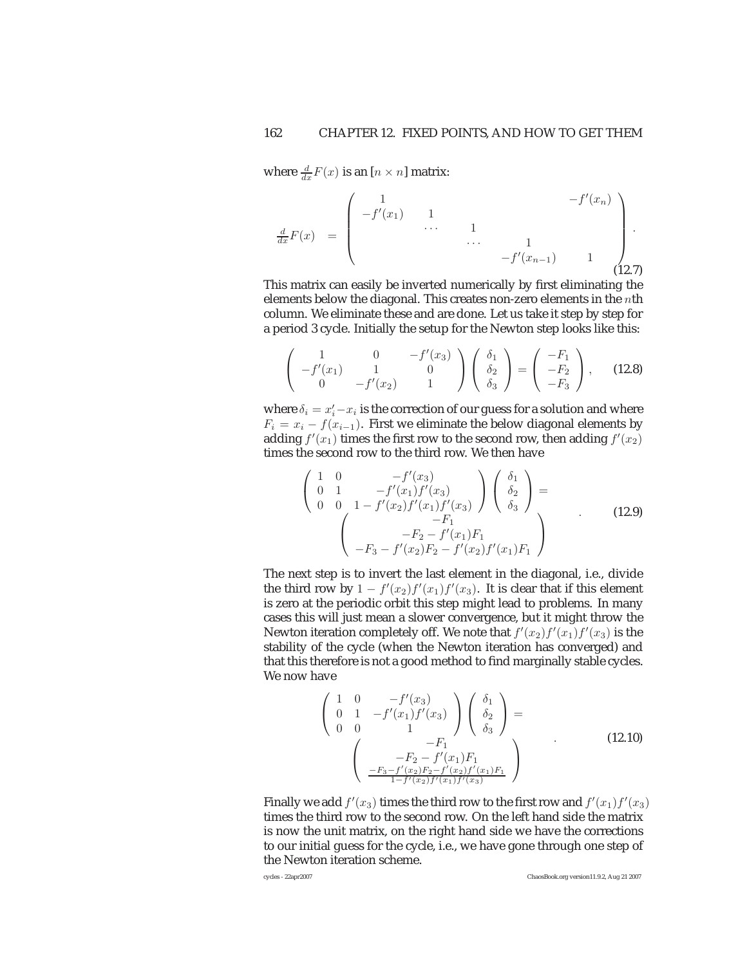where  $\frac{d}{dx}F(x)$  is an  $[n \times n]$  matrix:

$$
\frac{d}{dx}F(x) = \begin{pmatrix} 1 & & & & -f'(x_n) \\ -f'(x_1) & 1 & & & \\ & \cdots & 1 & & \\ & & \cdots & 1 & \\ & & & -f'(x_{n-1}) & 1 \\ & & & & (12.7)
$$

This matrix can easily be inverted numerically by first eliminating the elements below the diagonal. This creates non-zero elements in the  $n$ th column. We eliminate these and are done. Let us take it step by step for a period 3 cycle. Initially the setup for the Newton step looks like this:

$$
\begin{pmatrix} 1 & 0 & -f'(x_3) \\ -f'(x_1) & 1 & 0 \\ 0 & -f'(x_2) & 1 \end{pmatrix} \begin{pmatrix} \delta_1 \\ \delta_2 \\ \delta_3 \end{pmatrix} = \begin{pmatrix} -F_1 \\ -F_2 \\ -F_3 \end{pmatrix}, \quad (12.8)
$$

where  $\delta_i = x'_i - x_i$  is the correction of our guess for a solution and where  $F_i = x_i - f(x_{i-1})$ . First we eliminate the below diagonal elements by adding  $f'(x_1)$  times the first row to the second row, then adding  $f'(x_2)$ times the second row to the third row. We then have

$$
\begin{pmatrix}\n1 & 0 & -f'(x_3) \\
0 & 1 & -f'(x_1)f'(x_3) \\
0 & 0 & 1 - f'(x_2)f'(x_1)f'(x_3)\n\end{pmatrix}\n\begin{pmatrix}\n\delta_1 \\
\delta_2 \\
\delta_3\n\end{pmatrix} =
$$
\n(12.9)\n
$$
\begin{pmatrix}\n-F_1 \\
-F_2 - f'(x_1)F_1 \\
-F_3 - f'(x_2)F_2 - f'(x_2)f'(x_1)F_1\n\end{pmatrix}
$$

The next step is to invert the last element in the diagonal, i.e., divide the third row by  $1 - f'(x_2)f'(x_1)f'(x_3)$ . It is clear that if this element is zero at the periodic orbit this step might lead to problems. In many cases this will just mean a slower convergence, but it might throw the Newton iteration completely off. We note that  $f'(x_2)f'(x_1)f'(x_3)$  is the stability of the cycle (when the Newton iteration has converged) and that this therefore is not a good method to find marginally stable cycles. We now have

$$
\begin{pmatrix}\n1 & 0 & -f'(x_3) \\
0 & 1 & -f'(x_1)f'(x_3) \\
0 & 0 & 1\n\end{pmatrix}\n\begin{pmatrix}\n\delta_1 \\
\delta_2 \\
\delta_3\n\end{pmatrix} = \n\begin{pmatrix}\n-F_1 \\
-F_2 - f'(x_1)F_1 \\
\frac{-F_3 - f'(x_2)F_2 - f'(x_2)f'(x_1)F_1}{1 - f'(x_2)f'(x_1)f'(x_3)}\n\end{pmatrix}
$$
\n(12.10)

Finally we add  $f'(x_3)$  times the third row to the first row and  $f'(x_1)f'(x_3)$ times the third row to the second row. On the left hand side the matrix is now the unit matrix, on the right hand side we have the corrections to our initial guess for the cycle, i.e., we have gone through one step of the Newton iteration scheme.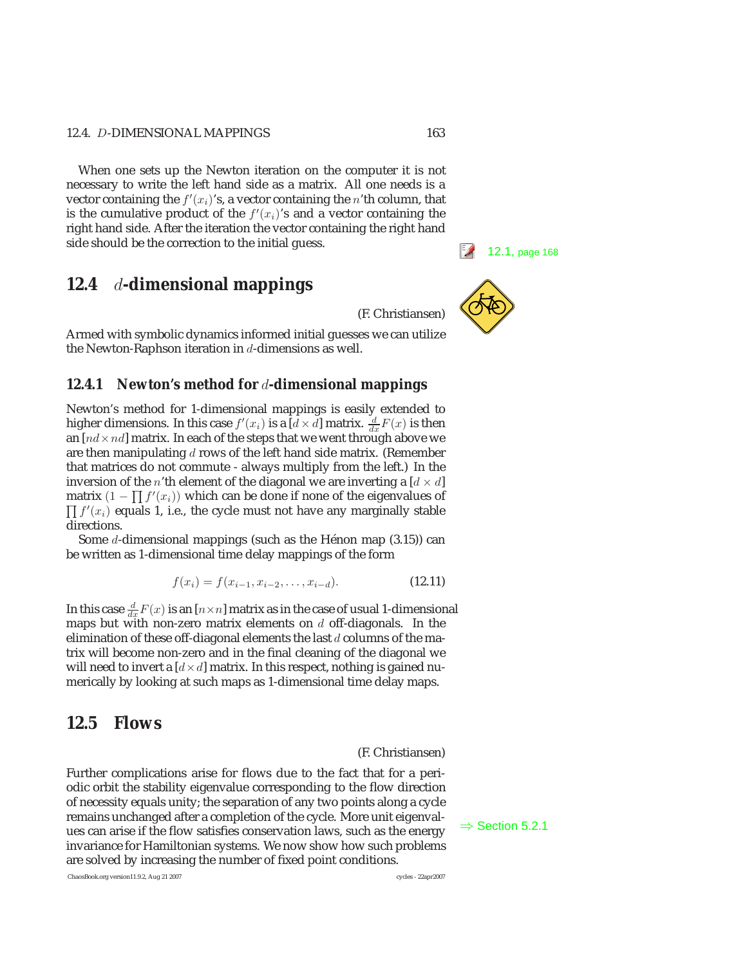When one sets up the Newton iteration on the computer it is not necessary to write the left hand side as a matrix. All one needs is a vector containing the  $f'(x_i)$ 's, a vector containing the n'th column, that is the cumulative product of the  $f'(x_i)$ 's and a vector containing the right hand side. After the iteration the vector containing the right hand side should be the correction to the initial guess.<br> **12.1**, page 168

# **12.4** *d***-dimensional mappings**

(F. Christiansen)

Armed with symbolic dynamics informed initial guesses we can utilize the Newton-Raphson iteration in  $d$ -dimensions as well.

### **12.4.1 Newton's method for** *d***-dimensional mappings**

Newton's method for 1-dimensional mappings is easily extended to higher dimensions. In this case  $f'(x_i)$  is a  $\overline{[d \times d]}$  matrix.  $\frac{d}{dx}F(x)$  is then an  $[nd \times nd]$  matrix. In each of the steps that we went through above we are then manipulating  $d$  rows of the left hand side matrix. (Remember that matrices do not commute - always multiply from the left.) In the inversion of the *n*'th element of the diagonal we are inverting a  $[d \times d]$ matrix  $(1 - \prod f'(x_i))$  which can be done if none of the eigenvalues of  $\prod f'(x_i)$  equals 1, i.e., the cycle must not have any marginally stable directions.

Some d-dimensional mappings (such as the Hénon map  $(3.15)$ ) can be written as 1-dimensional time delay mappings of the form

$$
f(x_i) = f(x_{i-1}, x_{i-2}, \dots, x_{i-d}).
$$
\n(12.11)

In this case  $\frac{d}{dx}F(x)$  is an  $[n\times n]$  matrix as in the case of usual 1-dimensional maps but with non-zero matrix elements on  $d$  off-diagonals. In the elimination of these off-diagonal elements the last  $d$  columns of the matrix will become non-zero and in the final cleaning of the diagonal we will need to invert a  $[d \times d]$  matrix. In this respect, nothing is gained numerically by looking at such maps as 1-dimensional time delay maps.

# **12.5 Flows**

(F. Christiansen)

Further complications arise for flows due to the fact that for a periodic orbit the stability eigenvalue corresponding to the flow direction of necessity equals unity; the separation of any two points along a cycle remains unchanged after a completion of the cycle. More unit eigenval-<br>ues can arise if the flow satisfies conservation laws, such as the energy  $\Rightarrow$  Section 5.2.1 invariance for Hamiltonian systems. We now show how such problems are solved by increasing the number of fixed point conditions.

ChaosBook.org version11.9.2, Aug 21 2007 cycles - 22apr2007

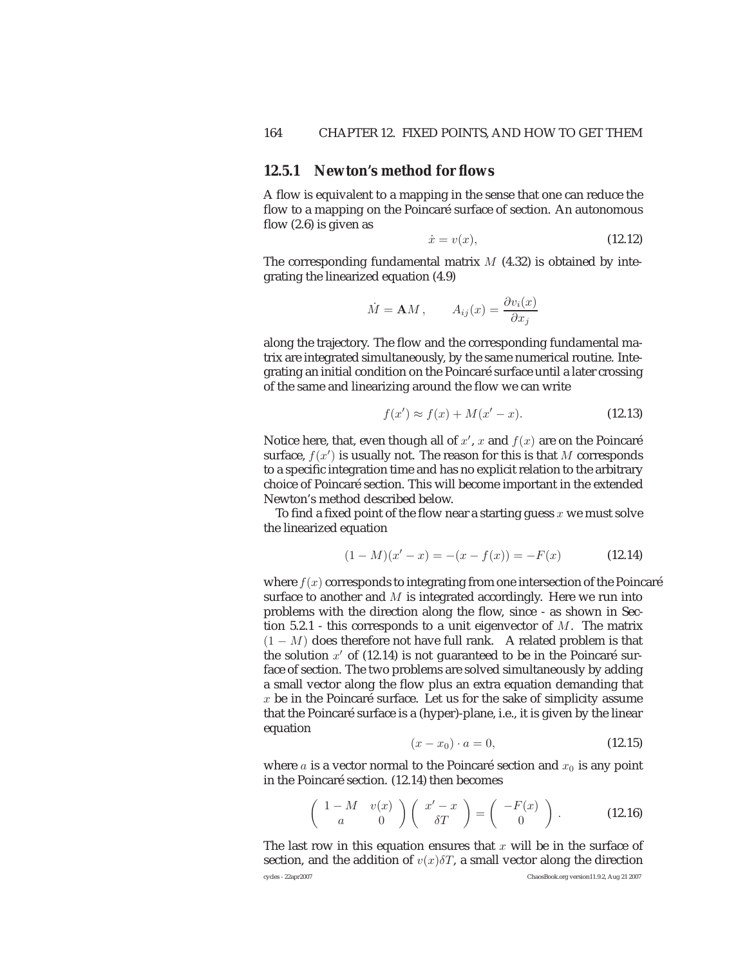#### **12.5.1 Newton's method for flows**

A flow is equivalent to a mapping in the sense that one can reduce the flow to a mapping on the Poincaré surface of section. An autonomous flow  $(2.6)$  is given as

$$
\dot{x} = v(x),\tag{12.12}
$$

The corresponding fundamental matrix  $M$  (4.32) is obtained by integrating the linearized equation (4.9)

$$
\dot{M} = \mathbf{A}M
$$
,  $A_{ij}(x) = \frac{\partial v_i(x)}{\partial x_j}$ 

along the trajectory. The flow and the corresponding fundamental matrix are integrated simultaneously, by the same numerical routine. Integrating an initial condition on the Poincaré surface until a later crossing of the same and linearizing around the flow we can write

$$
f(x') \approx f(x) + M(x' - x). \tag{12.13}
$$

Notice here, that, even though all of  $x'$ ,  $x$  and  $f(x)$  are on the Poincaré surface,  $f(x')$  is usually not. The reason for this is that M corresponds to a specific integration time and has no explicit relation to the arbitrary choice of Poincaré section. This will become important in the extended Newton's method described below.

To find a fixed point of the flow near a starting guess  $x$  we must solve the linearized equation

$$
(1 - M)(x' - x) = -(x - f(x)) = -F(x)
$$
 (12.14)

where  $f(x)$  corresponds to integrating from one intersection of the Poincaré surface to another and  $M$  is integrated accordingly. Here we run into problems with the direction along the flow, since - as shown in Section  $5.2.1$  - this corresponds to a unit eigenvector of M. The matrix  $(1 - M)$  does therefore not have full rank. A related problem is that the solution  $x'$  of (12.14) is not guaranteed to be in the Poincaré surface of section. The two problems are solved simultaneously by adding a small vector along the flow plus an extra equation demanding that  $x$  be in the Poincaré surface. Let us for the sake of simplicity assume that the Poincaré surface is a (hyper)-plane, i.e., it is given by the linear equation

$$
(x - x_0) \cdot a = 0,\t\t(12.15)
$$

where a is a vector normal to the Poincaré section and  $x_0$  is any point in the Poincaré section. (12.14) then becomes

$$
\left(\begin{array}{cc} 1-M & v(x) \\ a & 0 \end{array}\right) \left(\begin{array}{c} x'-x \\ \delta T \end{array}\right) = \left(\begin{array}{c} -F(x) \\ 0 \end{array}\right). \tag{12.16}
$$

The last row in this equation ensures that  $x$  will be in the surface of section, and the addition of  $v(x)\delta T$ , a small vector along the direction cycles - 22apr2007 ChaosBook.org version11.9.2, Aug 21 2007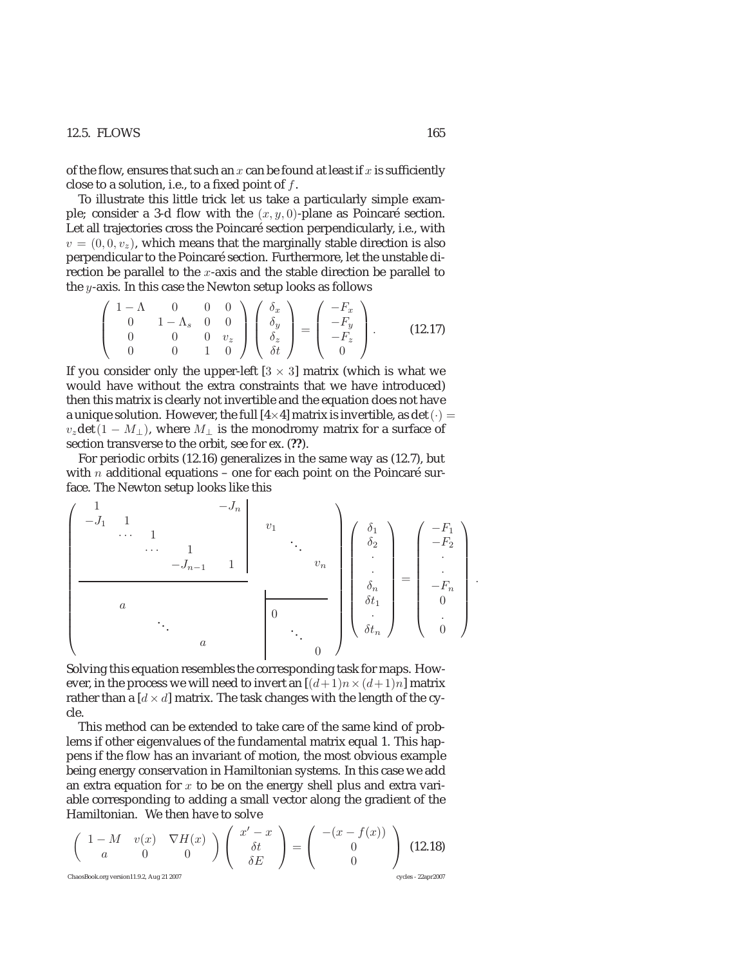#### 12.5. FLOWS 165

of the flow, ensures that such an  $x$  can be found at least if  $x$  is sufficiently close to a solution, i.e., to a fixed point of  $f$ .

To illustrate this little trick let us take a particularly simple example; consider a 3-d flow with the  $(x, y, 0)$ -plane as Poincaré section. Let all trajectories cross the Poincaré section perpendicularly, i.e., with  $v = (0, 0, v_z)$ , which means that the marginally stable direction is also perpendicular to the Poincaré section. Furthermore, let the unstable direction be parallel to the  $x$ -axis and the stable direction be parallel to the  $y$ -axis. In this case the Newton setup looks as follows

$$
\begin{pmatrix} 1-\Lambda & 0 & 0 & 0 \ 0 & 1-\Lambda_s & 0 & 0 \ 0 & 0 & 0 & v_z \ 0 & 0 & 1 & 0 \end{pmatrix} \begin{pmatrix} \delta_x \\ \delta_y \\ \delta_z \\ \delta_t \end{pmatrix} = \begin{pmatrix} -F_x \\ -F_y \\ -F_z \\ 0 \end{pmatrix}.
$$
 (12.17)

If you consider only the upper-left  $[3 \times 3]$  matrix (which is what we would have without the extra constraints that we have introduced) then this matrix is clearly not invertible and the equation does not have a unique solution. However, the full  $[4\times4]$  matrix is invertible, as det  $(·)$  =  $v<sub>z</sub>det(1 - M<sub>⊥</sub>)$ , where  $M<sub>⊥</sub>$  is the monodromy matrix for a surface of section transverse to the orbit, see for ex. (**??**).

For periodic orbits (12.16) generalizes in the same way as (12.7), but with *n* additional equations – one for each point on the Poincaré surface. The Newton setup looks like this

⎛ ⎜⎜⎜⎜⎜⎜⎜⎜⎜⎜⎜⎜⎜⎜⎜⎝ 1 −J<sup>n</sup> −J<sup>1</sup> 1 ··· 1 ··· 1 −J<sup>n</sup>−<sup>1</sup> 1 v1 ... vn a ... a 0 ... 0 ⎞ ⎟⎟⎟⎟⎟⎟⎟⎟⎟⎟⎟⎟⎟⎟⎟⎠ ⎛ ⎜⎜⎜⎜⎜⎜⎜⎜⎜⎜⎝ δ1 δ2 · · δn δt<sup>1</sup> · δt<sup>n</sup> ⎞ ⎟⎟⎟⎟⎟⎟⎟⎟⎟⎟⎠ = ⎛ ⎜⎜⎜⎜⎜⎜⎜⎜⎜⎜⎝ −F<sup>1</sup> −F<sup>2</sup> · · −F<sup>n</sup> 0 . 0 ⎞ ⎟⎟⎟⎟⎟⎟⎟⎟⎟⎟⎠

Solving this equation resembles the corresponding task for maps. However, in the process we will need to invert an  $[(d+1)n \times (d+1)n]$  matrix rather than a  $\left[ d \times d \right]$  matrix. The task changes with the length of the cycle.

This method can be extended to take care of the same kind of problems if other eigenvalues of the fundamental matrix equal 1. This happens if the flow has an invariant of motion, the most obvious example being energy conservation in Hamiltonian systems. In this case we add an extra equation for  $x$  to be on the energy shell plus and extra variable corresponding to adding a small vector along the gradient of the Hamiltonian. We then have to solve

$$
\begin{pmatrix}\n1-M & v(x) & \nabla H(x) \\
a & 0 & 0\n\end{pmatrix}\n\begin{pmatrix}\nx'-x \\
\delta t \\
\delta E\n\end{pmatrix} = \begin{pmatrix}\n-(x-f(x)) \\
0 \\
0\n\end{pmatrix}
$$
\n(12.18)  
\nChasBook.org version11.9.2, Aug 21 2007\nC

.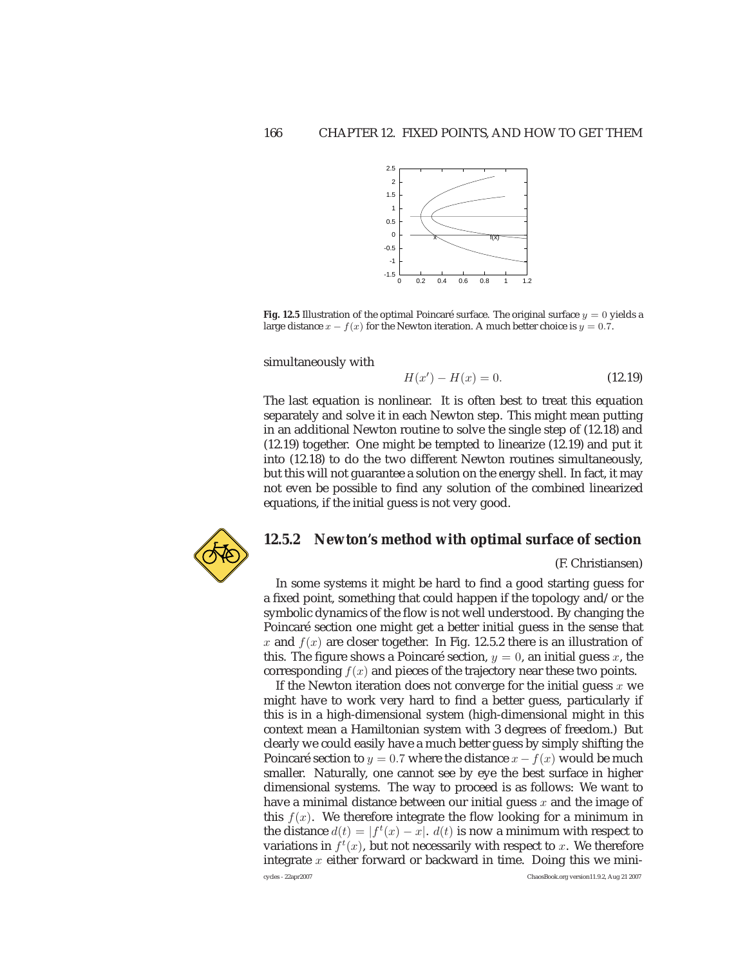

**Fig. 12.5** Illustration of the optimal Poincaré surface. The original surface  $y = 0$  yields a large distance  $x - f(x)$  for the Newton iteration. A much better choice is  $y = 0.7$ .

simultaneously with

$$
H(x') - H(x) = 0.
$$
 (12.19)

The last equation is nonlinear. It is often best to treat this equation separately and solve it in each Newton step. This might mean putting in an additional Newton routine to solve the single step of (12.18) and (12.19) together. One might be tempted to linearize (12.19) and put it into (12.18) to do the two different Newton routines simultaneously, but this will not guarantee a solution on the energy shell. In fact, it may not even be possible to find any solution of the combined linearized equations, if the initial guess is not very good.



### **12.5.2 Newton's method with optimal surface of section**

(F. Christiansen)

In some systems it might be hard to find a good starting guess for a fixed point, something that could happen if the topology and/or the symbolic dynamics of the flow is not well understood. By changing the Poincaré section one might get a better initial guess in the sense that x and  $f(x)$  are closer together. In Fig. 12.5.2 there is an illustration of this. The figure shows a Poincaré section,  $y = 0$ , an initial guess x, the corresponding  $f(x)$  and pieces of the trajectory near these two points.

If the Newton iteration does not converge for the initial guess  $x$  we might have to work very hard to find a better guess, particularly if this is in a high-dimensional system (high-dimensional might in this context mean a Hamiltonian system with 3 degrees of freedom.) But clearly we could easily have a much better guess by simply shifting the Poincaré section to  $y = 0.7$  where the distance  $x - f(x)$  would be much smaller. Naturally, one cannot see by eye the best surface in higher dimensional systems. The way to proceed is as follows: We want to have a minimal distance between our initial guess  $x$  and the image of this  $f(x)$ . We therefore integrate the flow looking for a minimum in the distance  $d(t) = |f^t(x) - x|$ .  $d(t)$  is now a minimum with respect to variations in  $f^t(x)$ , but not necessarily with respect to x. We therefore integrate  $x$  either forward or backward in time. Doing this we minicycles - 22apr2007 ChaosBook.org version11.9.2, Aug 21 2007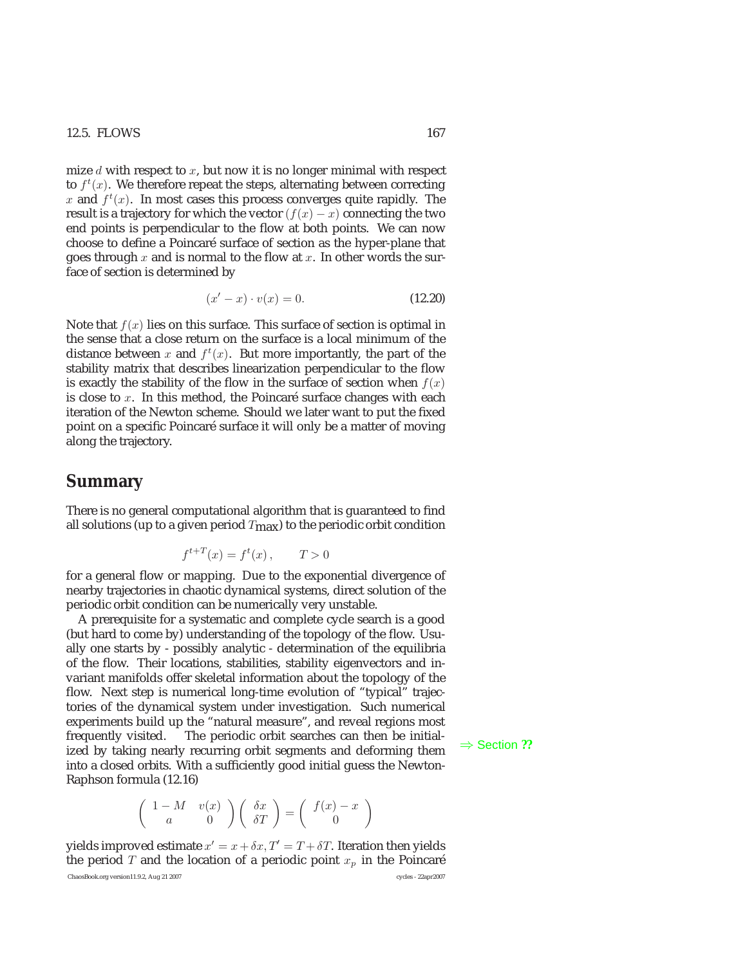mize  $d$  with respect to  $x$ , but now it is no longer minimal with respect to  $f^t(x)$ . We therefore repeat the steps, alternating between correcting x and  $f^{t}(x)$ . In most cases this process converges quite rapidly. The result is a trajectory for which the vector  $(f(x) - x)$  connecting the two end points is perpendicular to the flow at both points. We can now choose to define a Poincaré surface of section as the hyper-plane that goes through x and is normal to the flow at x. In other words the surface of section is determined by

$$
(x'-x)\cdot v(x) = 0.\t(12.20)
$$

Note that  $f(x)$  lies on this surface. This surface of section is optimal in the sense that a close return on the surface is a local minimum of the distance between x and  $f^t(x)$ . But more importantly, the part of the stability matrix that describes linearization perpendicular to the flow is exactly the stability of the flow in the surface of section when  $f(x)$ is close to  $x$ . In this method, the Poincaré surface changes with each iteration of the Newton scheme. Should we later want to put the fixed point on a specific Poincaré surface it will only be a matter of moving along the trajectory.

## **Summary**

There is no general computational algorithm that is guaranteed to find all solutions (up to a given period  $T_{\text{max}}$ ) to the periodic orbit condition

$$
f^{t+T}(x) = f^t(x) , \qquad T > 0
$$

for a general flow or mapping. Due to the exponential divergence of nearby trajectories in chaotic dynamical systems, direct solution of the periodic orbit condition can be numerically very unstable.

A prerequisite for a systematic and complete cycle search is a good (but hard to come by) understanding of the topology of the flow. Usually one starts by - possibly analytic - determination of the equilibria of the flow. Their locations, stabilities, stability eigenvectors and invariant manifolds offer skeletal information about the topology of the flow. Next step is numerical long-time evolution of "typical" trajectories of the dynamical system under investigation. Such numerical experiments build up the "natural measure", and reveal regions most frequently visited. The periodic orbit searches can then be initial-<br>ized by taking nearly recurring orbit segments and deforming them  $\Rightarrow$  Section ?? into a closed orbits. With a sufficiently good initial guess the Newton-Raphson formula (12.16)

$$
\left(\begin{array}{cc} 1-M & v(x) \\ a & 0 \end{array}\right)\left(\begin{array}{c} \delta x \\ \delta T \end{array}\right) = \left(\begin{array}{c} f(x)-x \\ 0 \end{array}\right)
$$

yields improved estimate  $x' = x + \delta x$ ,  $T' = T + \delta T$ . Iteration then yields the period T and the location of a periodic point  $x_p$  in the Poincaré ChaosBook.org version11.9.2, Aug 21 2007 cycles - 22apr2007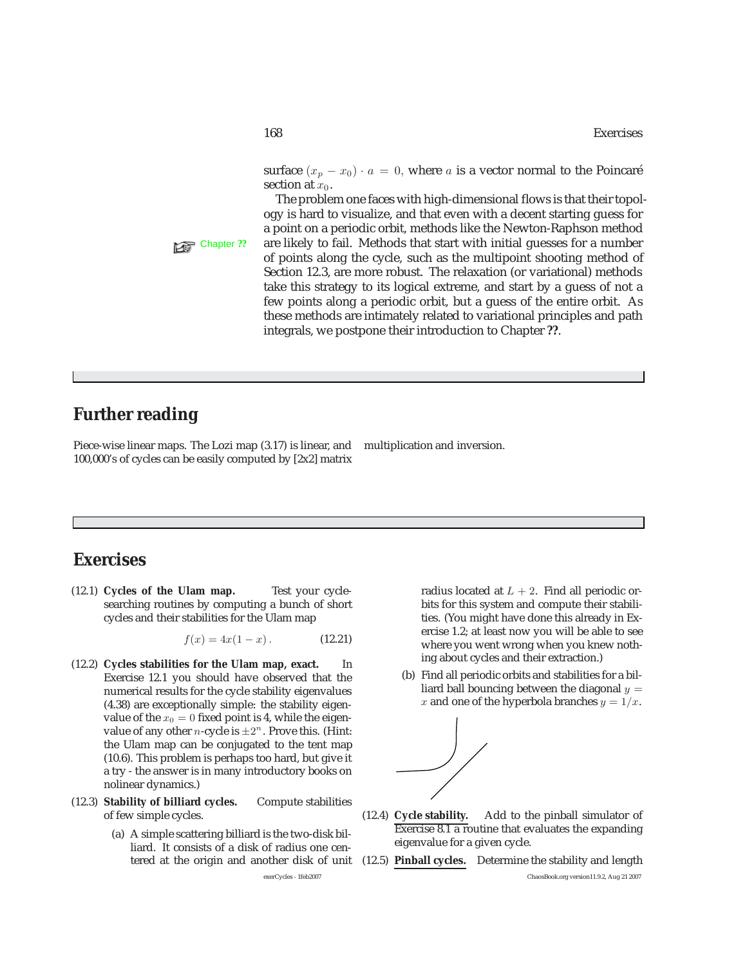surface  $(x_p - x_0) \cdot a = 0$ , where a is a vector normal to the Poincaré section at  $x_0$ .

The problem one faces with high-dimensional flows is that their topology is hard to visualize, and that even with a decent starting guess for a point on a periodic orbit, methods like the Newton-Raphson method Chapter ?? are likely to fail. Methods that start with initial guesses for a number of points along the cycle, such as the multipoint shooting method of Section 12.3, are more robust. The relaxation (or variational) methods take this strategy to its logical extreme, and start by a guess of not a few points along a periodic orbit, but a guess of the entire orbit. As these methods are intimately related to variational principles and path integrals, we postpone their introduction to Chapter **??**.

# **Further reading**

Piece-wise linear maps. The Lozi map (3.17) is linear, and multiplication and inversion. 100,000's of cycles can be easily computed by [2x2] matrix

# **Exercises**

(12.1) **Cycles of the Ulam map.** Test your cyclesearching routines by computing a bunch of short cycles and their stabilities for the Ulam map

$$
f(x) = 4x(1 - x). \t(12.21)
$$

- (12.2) **Cycles stabilities for the Ulam map, exact.** In Exercise 12.1 you should have observed that the numerical results for the cycle stability eigenvalues (4.38) are exceptionally simple: the stability eigenvalue of the  $x_0 = 0$  fixed point is 4, while the eigenvalue of any other *n*-cycle is  $\pm 2^n$ . Prove this. (Hint: the Ulam map can be conjugated to the tent map (10.6). This problem is perhaps too hard, but give it a try - the answer is in many introductory books on nolinear dynamics.)
- (12.3) **Stability of billiard cycles.** Compute stabilities of few simple cycles.
	- (a) A simple scattering billiard is the two-disk billiard. It consists of a disk of radius one centered at the origin and another disk of unit

radius located at  $L + 2$ . Find all periodic orbits for this system and compute their stabilities. (You might have done this already in Exercise 1.2; at least now you will be able to see where you went wrong when you knew nothing about cycles and their extraction.)

(b) Find all periodic orbits and stabilities for a billiard ball bouncing between the diagonal  $y =$ x and one of the hyperbola branches  $y = 1/x$ .



- (12.4) **Cycle stability.** Add to the pinball simulator of Exercise 8.1 a routine that evaluates the expanding eigenvalue for a given cycle.
- (12.5) **Pinball cycles.** Determine the stability and length exerCycles - 1feb2007 ChaosBook.org version11.9.2, Aug 21 2007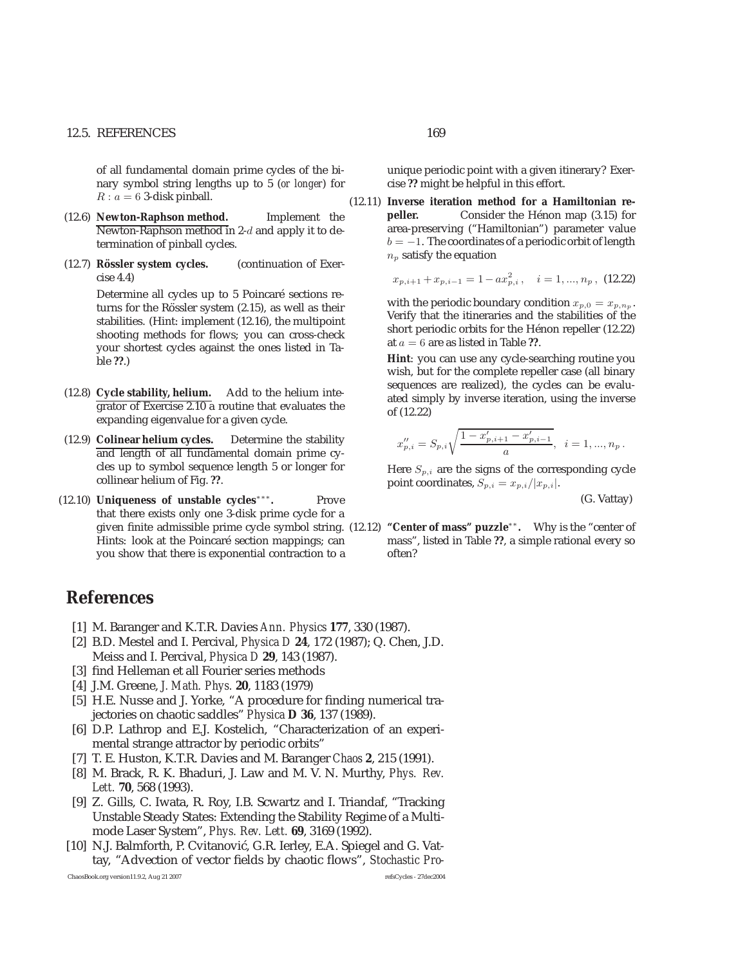#### 12.5. REFERENCES 169

of all fundamental domain prime cycles of the binary symbol string lengths up to 5 (*or longer*) for  $R : a = 6$  3-disk pinball.

- (12.6) **Newton-Raphson method.** Implement the Newton-Raphson method in 2-d and apply it to determination of pinball cycles.
- (12.7) **Rössler system cycles.** (continuation of Exercise 4.4)

Determine all cycles up to 5 Poincaré sections returns for the Rössler system  $(2.15)$ , as well as their stabilities. (Hint: implement (12.16), the multipoint shooting methods for flows; you can cross-check your shortest cycles against the ones listed in Table **??**.)

- (12.8) **Cycle stability, helium.** Add to the helium integrator of Exercise 2.10 a routine that evaluates the expanding eigenvalue for a given cycle.
- (12.9) **Colinear helium cycles.** Determine the stability and length of all fundamental domain prime cycles up to symbol sequence length 5 or longer for collinear helium of Fig. **??**.
- (12.10) **Uniqueness of unstable cycles**∗∗∗**.** Prove that there exists only one 3-disk prime cycle for a given finite admissible prime cycle symbol string. Hints: look at the Poincaré section mappings; can you show that there is exponential contraction to a

# **References**

- [1] M. Baranger and K.T.R. Davies *Ann. Physics* **177**, 330 (1987).
- [2] B.D. Mestel and I. Percival, *Physica D* **24**, 172 (1987); Q. Chen, J.D. Meiss and I. Percival, *Physica D* **29**, 143 (1987).
- [3] find Helleman et all Fourier series methods
- [4] J.M. Greene, *J. Math. Phys.* **20**, 1183 (1979)
- [5] H.E. Nusse and J. Yorke, "A procedure for finding numerical trajectories on chaotic saddles" *Physica* **D 36**, 137 (1989).
- [6] D.P. Lathrop and E.J. Kostelich, "Characterization of an experimental strange attractor by periodic orbits"
- [7] T. E. Huston, K.T.R. Davies and M. Baranger *Chaos* **2**, 215 (1991).
- [8] M. Brack, R. K. Bhaduri, J. Law and M. V. N. Murthy, *Phys. Rev. Lett.* **70**, 568 (1993).
- [9] Z. Gills, C. Iwata, R. Roy, I.B. Scwartz and I. Triandaf, "Tracking Unstable Steady States: Extending the Stability Regime of a Multimode Laser System", *Phys. Rev. Lett.* **69**, 3169 (1992).
- [10] N.J. Balmforth, P. Cvitanović, G.R. Ierley, E.A. Spiegel and G. Vattay, "Advection of vector fields by chaotic flows", *Stochastic Pro-*

unique periodic point with a given itinerary? Exercise **??** might be helpful in this effort.

(12.11) **Inverse iteration method for a Hamiltonian repeller.** Consider the Hénon map (3.15) for area-preserving ("Hamiltonian") parameter value  $b = -1$ . The coordinates of a periodic orbit of length  $n_p$  satisfy the equation

$$
x_{p,i+1} + x_{p,i-1} = 1 - ax_{p,i}^2, \quad i = 1, ..., n_p, (12.22)
$$

with the periodic boundary condition  $x_{p,0} = x_{p,n_p}$ . Verify that the itineraries and the stabilities of the short periodic orbits for the Hénon repeller (12.22) at a = 6 are as listed in Table **??**.

**Hint**: you can use any cycle-searching routine you wish, but for the complete repeller case (all binary sequences are realized), the cycles can be evaluated simply by inverse iteration, using the inverse of (12.22)

$$
x_{p,i}'' = S_{p,i} \sqrt{\frac{1 - x_{p,i+1}' - x_{p,i-1}'}{a}}, \quad i = 1, ..., n_p.
$$

Here  $S_{p,i}$  are the signs of the corresponding cycle point coordinates,  $S_{p,i} = x_{p,i}/|x_{p,i}|$ .

(G. Vattay)

(12.12) **"Center of mass" puzzle**∗∗**.** Why is the "center of mass", listed in Table **??**, a simple rational every so often?